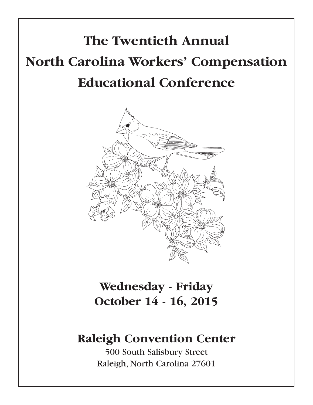# **The Twentieth Annual North Carolina Workers' Compensation Educational Conference**



## **Wednesday - Friday October 14 - 16, 2015**

## **Raleigh Convention Center**

500 South Salisbury Street Raleigh, North Carolina 27601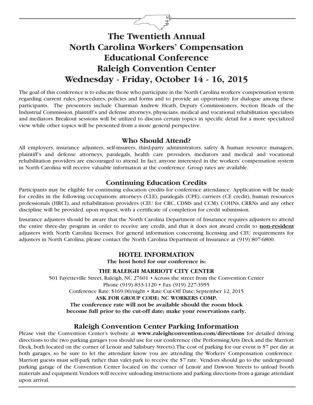## **The Twentieth Annual North Carolina Workers' Compensation Educational Conference Raleigh Convention Center Wednesday - Friday, October 14 - 16, 2015**

The goal of this conference is to educate those who participate in the North Carolina workers'compensation system regarding current rules, procedures, policies and forms and to provide an opportunity for dialogue among these participants. The presenters include Chairman Andrew Heath, Deputy Commissioners, Section Heads of the Industrial Commission, plaintiff's and defense attorneys, physicians, medical and vocational rehabilitation specialists and mediators. Breakout sessions will be utilized to discuss certain topics in specific detail for a more specialized view while other topics will be presented from a more general perspective.

## **Who Should Attend?**

All employers, insurance adjusters, self-insurers, third-party administrators, safety & human resource managers, plaintiff's and defense attorneys, paralegals, health care providers, mediators and medical and vocational rehabilitation providers are encouraged to attend. In fact, anyone interested in the workers' compensation system in North Carolina will receive valuable information at the conference. Group rates are available.

## **Continuing Education Credits**

Participants may be eligible for continuing education credits for conference attendance. Application will be made for credits in the following occupations: attorneys (CLE), paralegals (CPE), carriers (CE credit), human resources professionals (HRCI), and rehabilitation providers (CEU for CRC, CDMS and CCM). COHNs, CRRNs and any other discipline will be provided, upon request, with a certificate of completion for credit submission.

Insurance adjusters should be aware that the North Carolina Department of Insurance requires adjusters to attend the entire three-day program in order to receive any credit, and that it does not award credit to **non-resident** adjusters with North Carolina licenses. For general information concerning licensing and CEU requirements for adjusters in North Carolina, please contact the North Carolina Department of Insurance at (919) 807-6800.

## **HOTEL INFORMATION**

**The host hotel for our conference is:**

### **THE RALEIGH MARRIOTT CITY CENTER**

501 Fayetteville Street, Raleigh, NC 27601 • Across the street from the Convention Center Phone (919) 833-1120 • Fax (919) 227-3955 Conference Rate: \$169.00/night • Rate Cut-Off Date: September 12, 2015 **ASK FOR GROUP CODE: NC WORKERS COMP. The conference rate will not be available should the room block become full prior to the cut-off date; make your reservations early.**

### **Raleigh Convention Center Parking Information**

Please visit the Convention Center's website at **www.raleighconvention.com/directions** for detailed driving directions to the two parking garages you should use for our conference (the PerformingArts Deck and the Marriott Deck, both located on the corner of Lenoir and Salisbury Streets).The cost of parking for our event is \$7 per day at both garages, so be sure to let the attendant know you are attending the Workers' Compensation conference. Marriott guests must self-park rather than valet-park to receive the \$7 rate. Vendors should go to the underground parking garage of the Convention Center located on the corner of Lenoir and Dawson Streets to unload booth materials and equipment.Vendors will receive unloading instructions and parking directions from a garage attendant upon arrival.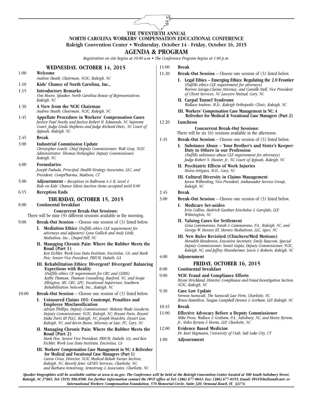#### **THE TWENTIETH ANNUAL NORTH CAROLINA WORKERS' COMPENSATION EDUCATIONAL CONFERENCE Raleigh Convention Center • Wednesday, October 14 - Friday, October 16, 2015**

#### **AGENDA & PROGRAM**

*Registration on site begins at 10:00 a.m • The Conference Program begins at 1:00 p.m.*

#### **WEDNESDAY, OCTOBER 14, 2015** 1:00 **Welcome**

*Andrew Heath, Chairman, NCIC, Raleigh, NC*

1:10 **Kids' Chance of North Carolina, Inc.,**

#### 1:15 **Introductory Remarks** *Tim Moore, Speaker, North Carolina House of Representatives, Raleigh, NC*

- 1:30 **A View from the NCIC Chairman** *Andrew Heath, Chairman, NCIC, Raleigh, NC*
- 1:45 **Appellate Procedure in Workers' Compensation Cases** Court; Judge Linda Stephens and Judge Richard Dietz, NC Court of *Appeals, Raleigh, NC*
- 2:45 **Break**
- 3:00 **Industrial Commission Update** *Christopher Loutit, Chief Deputy Commissioner; Walt Gray, NCIC Administrator; Thomas Perlungher, Deputy Commissioner, Raleigh, NC*

#### 4:00 **Formularies**

*Joseph Paduda, Principal, Health Strategy Associates, LLC, and President, CompPharma, Madison, CT*

- 5:00 **Adjournment -** *Reception in Ballroom A & B, Level 4 Bids on Kids' Chance Silent Auction items accepted until 6:00*
- 6:15 **Reception Ends**

#### **THURSDAY, OCTOBER 15, 2015**

#### 8:00 **Continental breakfast**

**Concurrent Break-Out Sessions:**

There will be nine (9) different sessions available in the morning.

- 9:00 **Break-Out Session** Choose one session of (3) listed below.
	- **I. Mediation Ethics** *(Fulfills ethics CLE requirement for attorneys and adjusters) Lynn Gullick and Andy Little, Mediation, Inc., Chapel Hill, NC*
	- **II. Managing Chronic Pain: Where the Rubber Meets the Road (Part 1)** *Ken Eichler, Work Loss Data Institute, Encinitas, CA; and Mark Pew, Senior Vice President, PRIUM, Duluth, GA*
	- **III. Rehabilitation Ethics: Divergent? Divergent! Balancing Expections with Reality** *(Fulfills ethics CE requirement for CRC and CDMS) Kathy Thaman, Thaman Consulting, Raeford, NC; and Sonja Ellington, MS, CRC, LPC, Vocational Supervisor, Southern Rehabilitation Network, Inc., Raleigh, NC*
- 10:00 **Break-Out Session** Choose one session of (3) listed below.
	- **I. Uninsured Claims 101: Contempt, Penalties and Employee Misclassification** Adrian Phillips, Deputy Commissioner; Melanie Wade Goodwin,<br>Deputy Commissioner, NCIC, Raleigh, NC; Bryant Paris, Bryant<br>Duke Paris III PLLC, Raleigh, NC; Joseph Houchin, Dysart Law, Raleigh, NC; and Kevin Bunn, Attorney at Law, PC, Cary, NC **II. Managing Chronic Pain: Where the Rubber Meets the**
		- **Road (Part 2)** *Mark Pew, Senior Vice President, PRIUM, Duluth, GA; and Ken Eichler, Work Loss Data Institute, Encinitas, CA*
	- **III. Workers' Compensation Case Management in NC: A Refresher for Medical and Vocational Case Managers (Part 1)** *Caron Cross, Director, NCIC Medical Rehab Nurses Section, Raleigh, NC; Beverly Jeter, GENEX Services, Charlotte, NC; and Barbara Armstrong, Armstrong & Associates, Charlotte, NC*
- 11:00 **Break**
- 11:20 **Break-Out Session** Choose one session of (3) listed below.
	- **I. Legal Ethics – Emerging Ethics: Regulating the 2.0 Frontier** *(Fulfills ethics CLE requirement for attorneys) Warren Savage,Claims Attorney, and Camille Stell, Vice President of Client Services, NC Lawyers Mutual, Cary, NC*
	- **II. Carpal Tunnel Syndrome** *Wallace Andrew, M.D., Raleigh Orthopedic Clinic, Raleigh, NC*
	- **III. Workers' Compensation Case Management in NC: A Refresher for Medical & Vocational Case Managers (Part 2)**

#### 12:20 **Luncheon**

**Concurrent Break-Out Sessions:** There will be six (6) sessions available in the afternoon.

- 1:45 **Break-Out Session** Choose one session of (3) listed below.
	- **I. Substance Abuse – Your Brother's and Sister's Keeper: Duty to Others in our Profession** *(Fulfills substance abuse CLE requirement for attorneys) Judge Robert N. Hunter, Jr., NC Court of Appeals, Raleigh, NC*
	- **II. Psychiatric Effects of Work Injuries** *Moira Artigues, M.D., Cary, NC*
	- **III. Cultural Diversity in Claims Management** *Keven Wilberding, Vice President, Ambassador Service Group, Raleigh, NC*

#### 2:45 **Break**

- 3:00 **Break-Out Session** Choose one session of (3) listed below.
	- **I. Medicare Set-asides** *Erin Collins, Hedrick Gardner Kincheloe & Garofalo, LLP, Wilmington, NC*
	- **II. Valuing Cases for Settlement** *Gina Cammarano, Farah & Cammarano, P.A., Raleigh, NC, and George W. Dennis III, Dennis Mediations, LLC, Apex, NC*
	- **III. New Rules Revisited (Clinchers/Med Motions)** *Meredith Henderson, Executive Secretary; Emily Baucom, Special Deputy Commissioner; Sumit Gupta, Deputy Commissioner, NCIC, Raleigh, NC; and Jeffrey Misenheimer, Lewis & Roberts, Raleigh, NC*
- 4:00 **Adjournment**

#### **FRIDAY, OCTOBER 16, 2015**

#### 8:00 **Continental breakfast**

- 9:00 **NCIC Fraud and Compliance Efforts** *Bryan Strickland, Director, Compliance and Fraud Investigation Section, NCIC, Raleigh, NC*
- 9:30 **Case Law Update** *Vernon Sumwalt, The Sumwalt Law Firm, Charlotte, NC Bruce Hamilton, Teague Campbell Dennis & Gorham, LLP, Raleigh, NC*

#### 10:45 **Break**

- 11:00 **Effective Advocacy Before a Deputy Commissioner** *Mike Pross, Wallace & Graham, P.A., Salisbury, NC; and Henry Byrum, Jr., Stiles Byrum & Horne, LLP, Charlotte, NC*
- 12:00 **Evidence Based Medicine** *Dr. Kurt Hegmann, University of Utah, Salt Lake City, UT*
- 1:00 **Adjournment**

Speaker biographies will be available online at www.ic.nc.gov. The Conference will be held at the Raleigh Convention Center located at 500 South Salisbury Street, Raleigh, NC 27601; Tel: (919) 996.8500. For further information contact the IWCF office at Tel: (386) 677-0041; Fax: (386) 677-0155; Email: IWCF@bellsouth.net; or *International Workers' Compensation Foundation, 570 Memorial Circle, Suite 320, Ormond Beach, FL 32174.*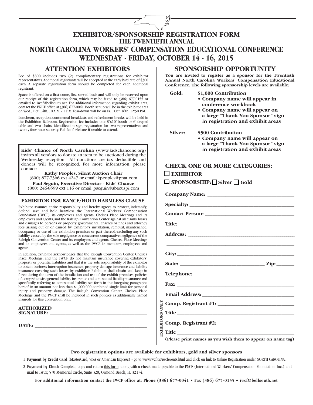## **EXHIBITOR/SPONSORSHIP REGISTRATION FORM THE TWENTIETH ANNUAL NORTH CAROLINA WORKERS' COMPENSATION EDUCATIONAL CONFERENCE WEDNESDAY - FRIDAY, OCTOBER 14 - 16, 2015**

Fee of \$800 includes two (2) complimentary registrations for exhibitor representatives.Additional registrants will be accepted at the early bird rate of \$300 each. A separate registration form should be completed for each additional registrant.

Space is offered on a first come, first served basis and will only be reserved upon our receipt of this registration form, which may be faxed to (386) 677-0155 or emailed to iwcf@bellsouth.net. For additional information regarding exhibit area, contact the IWCF office at (386) 677-0041.Booth set-up will be in the exhibitor area on Wed., Oct. 14th, 10 A.M. - 1 P.M. Tear-down will be on Fri., Oct. 16th, 12:50 P.M.

Luncheon, reception, continental breakfasts and refreshment breaks will be held in the Exhibition Ballroom. Registration fee includes one 8'x10' booth or 6' draped table and two chairs, identification sign, registration for two representatives and twenty-four hour security. Full fee forfeiture if unable to attend.

**Kids' Chance of North Carolina** (www.kidschancenc.org) invites all vendors to donate an item to be auctioned during the Wednesday reception. All donations are tax deductible and donors will be recognized. For more information, please contact:

**Kathy Peoples, Silent Auction Chair** (800) 877-7366 ext 4247 or email: kpeoples@pnat.com **Paul Seguin, Executive Director - Kids' Chance** (800) 246-8599 ext 116 or email: pseguin@abacuspi.com

#### **EXHIBITOR INSURANCE/HOLD HARMLESS CLAUSE**

Exhibitor assumes entire responsibility and hereby agrees to protect, indemnify, defend, save and hold harmless the International Workers' Compensation Foundation (IWCF), its employees and agents, Chelsea Place Meetings and its employees and agents, and the Raleigh Convention Center against all claims, losses and damages to persons or property, governmental charges or fines and attorney fees arising out of or caused by exhibitor's installation, removal, maintenance, occupancy or use of the exhibition premises or part thereof, excluding any such liability caused by the sole negligence or concurrent comparative negligence of the Raleigh Convention Center and its employees and agents, Chelsea Place Meetings and its employees and agents, as well as the IWCF, its members, employees and agents.

In addition, exhibitor acknowledges that the Raleigh Convention Center, Chelsea Place Meetings, and the IWCF do not maintain insurance covering exhibitors' property or potential liabilities and that it is the sole responsibility of the exhibitor to obtain business interruption insurance, property damage insurance and liability insurance covering such losses by exhibitor. Exhibitor shall obtain and keep in force during the term of the installation and use of the exhibit premises, policies of comprehensive general liability insurance and contractual liability insurance and specifically referring to contractual liability set forth in the foregoing paragraphs hereof, in an amount not less than \$1,000,000 combined single limit for personal injury and property damage. The Raleigh Convention Center, Chelsea Place Meetings, and the IWCF shall be included in such policies as additionally named insureds for this convention only.

#### **AUTHORIZED SIGNATURE: \_\_\_\_\_\_\_\_\_\_\_\_\_\_\_\_\_\_\_\_\_\_\_\_\_\_\_\_\_\_\_\_\_\_\_\_\_\_**

**DATE: \_\_\_\_\_\_\_\_\_\_\_\_\_\_\_\_\_\_\_\_\_\_\_\_\_\_\_\_\_\_\_\_\_\_\_\_\_\_\_\_\_\_\_\_**

#### **ATTENTION EXHIBITORS SPONSORSHIP OPPORTUNITY**

**You are invited to register as a sponsor for the Twentieth Annual North Carolina Workers' Compensation Educational Conference. The following sponsorship levels are available:**

- **Gold: \$1,000 Contribution**
	- **• Company name will appear in conference workbook**
	- **• Company name will appear on a large "Thank You Sponsor" sign in registration and exhibit areas**

**Silver: \$500 Contribution**

**• Company name will appear on a large "Thank You Sponsor" sign in registration and exhibit areas**

|  |  | <b>CHECK ONE OR MORE CATEGORIES:</b> |
|--|--|--------------------------------------|
|  |  |                                      |

 $\Box$  **SPONSORSHIP:**  $\Box$  Silver  $\Box$  Gold

#### q **EXHIBITOR**

| <b>EXHIBITORS ONLY</b> |                                                             |
|------------------------|-------------------------------------------------------------|
|                        |                                                             |
|                        |                                                             |
|                        | (Please print names as you wish them to appear on name tag) |

**Two registration options are available for exhibitors, gold and silver sponsors**

1. **Payment by Credit Card** (MasterCard, VISA or American Express) - go to www.iwcf.us/iwcfevents.html and click on link to Online Registration under NORTH CAROLINA.

2.**Payment by Check** Complete, copy and return this form, along with a check made payable to the IWCF (International Workers' Compensation Foundation, Inc.) and mail to IWCF, 570 Memorial Circle, Suite 320, Ormond Beach, FL 32174.

For additional information contact the IWCF office at: Phone  $(386)$  677-0041 • Fax  $(386)$  677-0155 • iwcf@bellsouth.net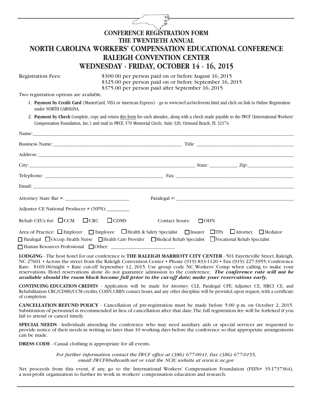## **CONFERENCE REGISTRATION FORM THE TWENTIETH ANNUAL NORTH CAROLINA WORKERS' COMPENSATION EDUCATIONAL CONFERENCE RALEIGH CONVENTION CENTER WEDNESDAY - FRIDAY, OCTOBER 14 - 16, 2015**

Registration Fees: \$300.00 per person paid on or before August 16, 2015 \$325.00 per person paid on or before September 16, 2015 \$375.00 per person paid after September 16, 2015

Two registration options are available.

1. **Payment by Credit Card** (MasterCard, VISA or American Express) - go to www.iwcf.us/iwcfevents.html and click on link to Online Registration under NORTH CAROLINA.

2. **Payment by Check** Complete, copy and return this form for each attendee, along with a check made payable to the IWCF (International Workers' Compensation Foundation, Inc.) and mail to IWCF, 570 Memorial Circle, Suite 320, Ormond Beach, FL 32174

| Name: Name: Name: Name: Name: Name: Name: Name: Name: Name: Name: Name: Name: Name: Name: Name: Name: Name: Name: Name: Name: Name: Name: Name: Name: Name: Name: Name: Name: Name: Name: Name: Name: Name: Name: Name: Name:                                      |                           |
|--------------------------------------------------------------------------------------------------------------------------------------------------------------------------------------------------------------------------------------------------------------------|---------------------------|
|                                                                                                                                                                                                                                                                    |                           |
| Address:                                                                                                                                                                                                                                                           |                           |
|                                                                                                                                                                                                                                                                    |                           |
|                                                                                                                                                                                                                                                                    |                           |
|                                                                                                                                                                                                                                                                    |                           |
|                                                                                                                                                                                                                                                                    |                           |
| Adjuster CE National Producer # (NPN): _________                                                                                                                                                                                                                   |                           |
| Rehab CEUs for: $\Box$ CCM $\Box$ CRC $\Box$ CDMS                                                                                                                                                                                                                  | Contact hours: $\Box$ OHN |
| Area of Practice: $\Box$ Employer $\Box$ Employee $\Box$ Health & Safety Specialist $\Box$ Insurer $\Box$ TPA $\Box$ Attorney $\Box$ Mediator<br>□ Paralegal □ Occup. Health Nurse □ Health Care Provider □ Medical Rehab Specialist □ Vocational Rehab Specialist |                           |

**LODGING** - The host hotel for our conference is:**THE RALEIGH MARRIOTT CITY CENTER** - 501 Fayetteville Street,Raleigh, NC 27601 • Across the street from the Raleigh Convention Center • Phone (919) 833-1120 • Fax (919) 227-3955; Conference Rate: \$169.00/night • Rate cut-off September 12, 2015. Use group code NC Workers' Comp when calling to make your reservations. Hotel reservations alone do not guarantee admission to the conference. *The conference rate will not be available should the room block become full prior to the cut-off date; make your reservations early.*

**CONTINUING EDUCATION CREDITS** - Application will be made for Attorney CLE, Paralegal CPE, Adjuster CE, HRCI CE, and Rehabilitation CRC/CDMS/CCM credits; COHN, CRRN contact hours, and any other discipline will be provided, upon request, with a certificate of completion.

**CANCELLATION REFUND POLICY** - Cancellation of pre-registration must be made before 5:00 p.m. on October 2, 2015. Substitution of personnel is recommended in lieu of cancellation after that date.The full registration fee will be forfeited if you fail to attend or cancel timely.

**SPECIAL NEEDS** - Individuals attending the conference who may need auxiliary aids or special services are requested to provide notice of their needs in writing no later than 10 working days before the conference so that appropriate arrangements can be made.

**DRESS CODE** - Casual clothing is appropriate for all events.

*For further information contact the IWCF office at (386) 677-0041, Fax (386) 677-0155, email: IWCF@bellsouth.net or visit the NCIC website at www.ic.nc.gov*

Net proceeds from this event, if any, go to the International Workers' Compensation Foundation (FEIN# 35-1737364), a non-profit organization to further its work in workers' compensation education and research.